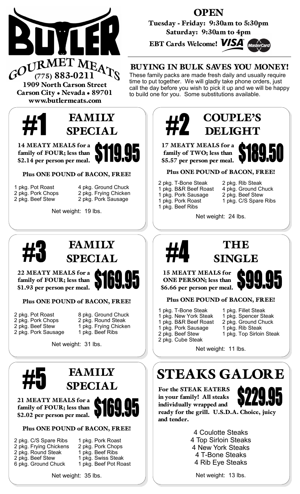

**OPEN** 

Tuesday - Friday: 9:30am to 5:30pm Saturday: 9:30am to 4pm

EBT Cards Welcome! **VISA** 



### BUYING IN BULK SAVES YOU MONEY!

These family packs are made fresh daily and usually require time to put together. We will gladly take phone orders, just call the day before you wish to pick it up and we will be happy to build one for you. Some substitutions available.

1909 North Carson Street Carson City . Nevada . 89701 www.butlermeats.com



14 MEATY MEALS for a family of FOUR; less than \$2.14 per person per meal.

Plus ONE POUND of BACON, FREE!

1 pkg. Pot Roast 4 pkg. Ground Chuck<br>2 pkg. Pork Chops 2 pkg. Frying Chicken 2 pkg. Frying Chicken 2 pkg. Beef Stew 2 pkg. Pork Sausage

Net weight: 19 lbs.



### **FAMILY** SPECIAL

22 MEATY MEALS for a family of FOUR; less than \$1.93 per person per meal.

Plus ONE POUND of BACON, FREE!

|  | 2 pkg. Pot Roast    |
|--|---------------------|
|  | 2 pkg. Pork Chops   |
|  | 2 pkg. Beef Stew    |
|  | 2 pkg. Pork Sausage |

- 8 pkg. Ground Chuck 2 pkg. Round Steak
- 1 pkg. Frying Chicken
- 1 pkg. Beef Ribs

Net weight: 31 lbs.



FAMILY **SPECIAL** 

21 MEATY MEALS for a family of FOUR; less than \$2.02 per person per meal.

Plus ONE POUND of BACON, FREE!

- 2 pkg. C/S Spare Ribs 1 pkg. Pork Roast<br>2 pkg. Frying Chickens 2 pkg. Pork Chops 2 pkg. Frying Chickens
- 
- 
- 
- 2 pkg. Round Steak 1 pkg. Beef Ribs<br>2 pkg. Beef Stew 1 pkg. Swiss Stea 1 pkg. Swiss Steak
- 6 pkg. Ground Chuck 1 pkg. Beef Pot Roast

Net weight: 35 lbs.

## COUPLE'S DELIGHT

17 MEATY MEALS for a family of TWO; less than \$5.57 per person per meal.



#### Plus ONE POUND of BACON, FREE!

- 2 pkg. T-Bone Steak 2 pkg. Rib Steak<br>1 pkg. B&R Beef Roast 4 pkg. Ground Chuck
- 1 pkg. Pork Sausage<br>1 pkg. Pork Roast
- 1 pkg. Beef Ribs
- 1 pkg. B&R Beef Roast 4 pkg. Ground Ch<br>1 pkg. Pork Sausage 2 pkg. Beef Stew
	- 1 pkg. C/S Spare Ribs

Net weight: 24 lbs.



### THE SINGLE

15 MEATY MEALS for ONE PERSON; less than \$6.66 per person per meal.



#### Plus ONE POUND of BACON, FREE!

- 
- 1 pkg. T-Bone Steak 1 pkg. Fillet Steak<br>1 pkg. New York Steak 1 pkg. Spencer Steak 1 pkg. New York Steak
	- - 1 pkg. Top Sirloin Steak
			-

Net weight: 11 lbs.

# STEAKS GALORE

For the STEAK EATERS in your family! All steaks individually wrapped and ready for the grill. U.S.D.A. Choice, juicy and tender.



4 Coulotte Steaks 4 Top Sirloin Steaks 4 New York Steaks 4 T-Bone Steaks 4 Rib Eye Steaks

Net weight: 13 lbs.

1 pkg. B&R Beef Roast 2 pkg. Ground Chuck<br>1 pkg. Pork Sausage 1 pkg. Rib Steak 1 pkg. Pork Sausage<br>2 pkg. Beef Stew 2 pkg. Cube Steak